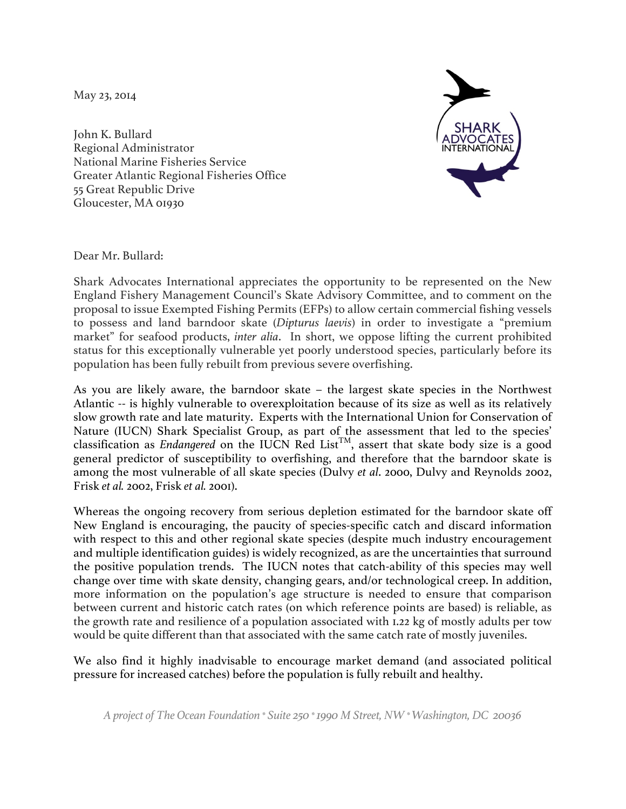May 23, 2014

John K. Bullard Regional Administrator National Marine Fisheries Service Greater Atlantic Regional Fisheries Office 55 Great Republic Drive Gloucester, MA 01930



Dear Mr. Bullard:

Shark Advocates International appreciates the opportunity to be represented on the New England Fishery Management Council's Skate Advisory Committee, and to comment on the proposal to issue Exempted Fishing Permits (EFPs) to allow certain commercial fishing vessels to possess and land barndoor skate (*Dipturus laevis*) in order to investigate a "premium market" for seafood products, *inter alia*. In short, we oppose lifting the current prohibited status for this exceptionally vulnerable yet poorly understood species, particularly before its population has been fully rebuilt from previous severe overfishing.

As you are likely aware, the barndoor skate – the largest skate species in the Northwest Atlantic -- is highly vulnerable to overexploitation because of its size as well as its relatively slow growth rate and late maturity. Experts with the International Union for Conservation of Nature (IUCN) Shark Specialist Group, as part of the assessment that led to the species' classification as *Endangered* on the IUCN Red List<sup>TM</sup>, assert that skate body size is a good general predictor of susceptibility to overfishing, and therefore that the barndoor skate is among the most vulnerable of all skate species (Dulvy *et al*. 2000, Dulvy and Reynolds 2002, Frisk *et al.* 2002, Frisk *et al.* 2001).

Whereas the ongoing recovery from serious depletion estimated for the barndoor skate off New England is encouraging, the paucity of species-specific catch and discard information with respect to this and other regional skate species (despite much industry encouragement and multiple identification guides) is widely recognized, as are the uncertainties that surround the positive population trends. The IUCN notes that catch-ability of this species may well change over time with skate density, changing gears, and/or technological creep. In addition, more information on the population's age structure is needed to ensure that comparison between current and historic catch rates (on which reference points are based) is reliable, as the growth rate and resilience of a population associated with 1.22 kg of mostly adults per tow would be quite different than that associated with the same catch rate of mostly juveniles.

We also find it highly inadvisable to encourage market demand (and associated political pressure for increased catches) before the population is fully rebuilt and healthy.

*A project of The Ocean Foundation \* Suite 250 \* 1990 M Street, NW \* Washington, DC 20036*